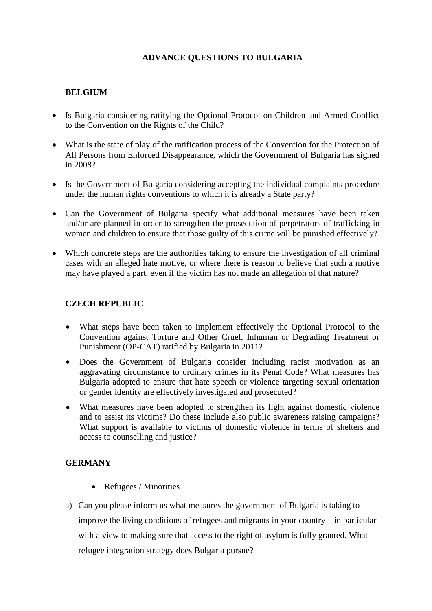# **ADVANCE QUESTIONS TO BULGARIA**

## **BELGIUM**

- Is Bulgaria considering ratifying the Optional Protocol on Children and Armed Conflict to the Convention on the Rights of the Child?
- What is the state of play of the ratification process of the Convention for the Protection of All Persons from Enforced Disappearance, which the Government of Bulgaria has signed in 2008?
- Is the Government of Bulgaria considering accepting the individual complaints procedure under the human rights conventions to which it is already a State party?
- Can the Government of Bulgaria specify what additional measures have been taken and/or are planned in order to strengthen the prosecution of perpetrators of trafficking in women and children to ensure that those guilty of this crime will be punished effectively?
- Which concrete steps are the authorities taking to ensure the investigation of all criminal cases with an alleged hate motive, or where there is reason to believe that such a motive may have played a part, even if the victim has not made an allegation of that nature?

### **CZECH REPUBLIC**

- What steps have been taken to implement effectively the Optional Protocol to the Convention against Torture and Other Cruel, Inhuman or Degrading Treatment or Punishment (OP-CAT) ratified by Bulgaria in 2011?
- Does the Government of Bulgaria consider including racist motivation as an aggravating circumstance to ordinary crimes in its Penal Code? What measures has Bulgaria adopted to ensure that hate speech or violence targeting sexual orientation or gender identity are effectively investigated and prosecuted?
- What measures have been adopted to strengthen its fight against domestic violence and to assist its victims? Do these include also public awareness raising campaigns? What support is available to victims of domestic violence in terms of shelters and access to counselling and justice?

#### **GERMANY**

- Refugees / Minorities
- a) Can you please inform us what measures the government of Bulgaria is taking to improve the living conditions of refugees and migrants in your country – in particular with a view to making sure that access to the right of asylum is fully granted. What refugee integration strategy does Bulgaria pursue?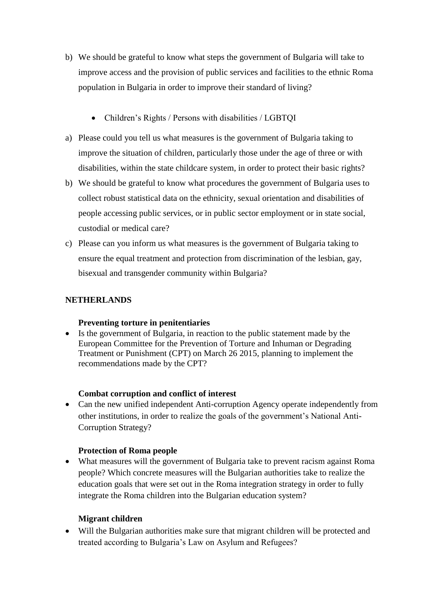- b) We should be grateful to know what steps the government of Bulgaria will take to improve access and the provision of public services and facilities to the ethnic Roma population in Bulgaria in order to improve their standard of living?
	- Children's Rights / Persons with disabilities / LGBTQI
- a) Please could you tell us what measures is the government of Bulgaria taking to improve the situation of children, particularly those under the age of three or with disabilities, within the state childcare system, in order to protect their basic rights?
- b) We should be grateful to know what procedures the government of Bulgaria uses to collect robust statistical data on the ethnicity, sexual orientation and disabilities of people accessing public services, or in public sector employment or in state social, custodial or medical care?
- c) Please can you inform us what measures is the government of Bulgaria taking to ensure the equal treatment and protection from discrimination of the lesbian, gay, bisexual and transgender community within Bulgaria?

## **NETHERLANDS**

#### **Preventing torture in penitentiaries**

 Is the government of Bulgaria, in reaction to the public statement made by the European Committee for the Prevention of Torture and Inhuman or Degrading Treatment or Punishment (CPT) on March 26 2015, planning to implement the recommendations made by the CPT?

#### **Combat corruption and conflict of interest**

• Can the new unified independent Anti-corruption Agency operate independently from other institutions, in order to realize the goals of the government's National Anti-Corruption Strategy?

#### **Protection of Roma people**

 What measures will the government of Bulgaria take to prevent racism against Roma people? Which concrete measures will the Bulgarian authorities take to realize the education goals that were set out in the Roma integration strategy in order to fully integrate the Roma children into the Bulgarian education system?

#### **Migrant children**

 Will the Bulgarian authorities make sure that migrant children will be protected and treated according to Bulgaria's Law on Asylum and Refugees?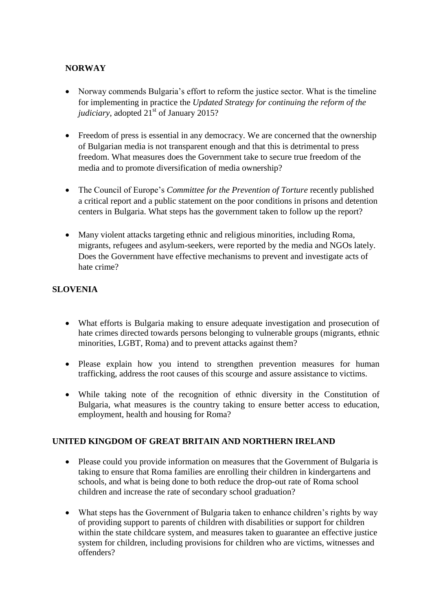## **NORWAY**

- Norway commends Bulgaria's effort to reform the justice sector. What is the timeline for implementing in practice the *Updated Strategy for continuing the reform of the judiciary*, adopted 21<sup>st</sup> of January 2015?
- Freedom of press is essential in any democracy. We are concerned that the ownership of Bulgarian media is not transparent enough and that this is detrimental to press freedom. What measures does the Government take to secure true freedom of the media and to promote diversification of media ownership?
- The Council of Europe's *Committee for the Prevention of Torture* recently published a critical report and a public statement on the poor conditions in prisons and detention centers in Bulgaria. What steps has the government taken to follow up the report?
- Many violent attacks targeting ethnic and religious minorities, including Roma, migrants, refugees and asylum-seekers, were reported by the media and NGOs lately. Does the Government have effective mechanisms to prevent and investigate acts of hate crime?

### **SLOVENIA**

- What efforts is Bulgaria making to ensure adequate investigation and prosecution of hate crimes directed towards persons belonging to vulnerable groups (migrants, ethnic minorities, LGBT, Roma) and to prevent attacks against them?
- Please explain how you intend to strengthen prevention measures for human trafficking, address the root causes of this scourge and assure assistance to victims.
- While taking note of the recognition of ethnic diversity in the Constitution of Bulgaria, what measures is the country taking to ensure better access to education, employment, health and housing for Roma?

#### **UNITED KINGDOM OF GREAT BRITAIN AND NORTHERN IRELAND**

- Please could you provide information on measures that the Government of Bulgaria is taking to ensure that Roma families are enrolling their children in kindergartens and schools, and what is being done to both reduce the drop-out rate of Roma school children and increase the rate of secondary school graduation?
- What steps has the Government of Bulgaria taken to enhance children's rights by way of providing support to parents of children with disabilities or support for children within the state childcare system, and measures taken to guarantee an effective justice system for children, including provisions for children who are victims, witnesses and offenders?